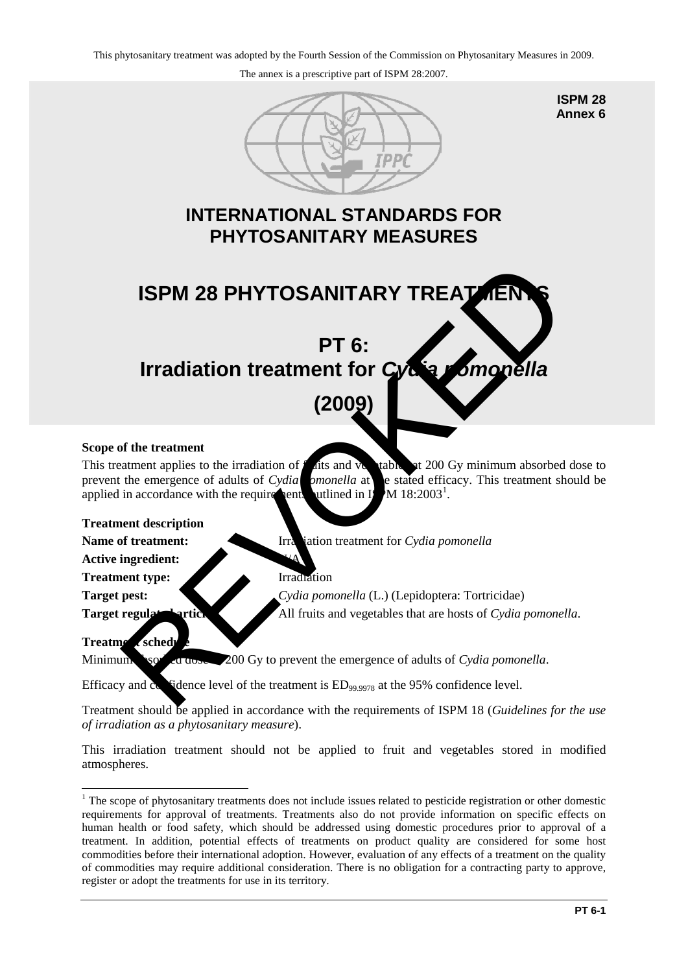The annex is a prescriptive part of ISPM 28:2007.



**ISPM 28 Annex 6**

# **INTERNATIONAL STANDARDS FOR PHYTOSANITARY MEASURES**



# **Scope of the treatment**

This treatment applies to the irradiation of  $f$  at the vegetable sat 200 Gy minimum absorbed dose to prevent the emergence of adults of *Cydia pmonella* at e stated efficacy. This treatment should be applied in accordance with the requirements outlined in I  $M$  18:2003<sup>1</sup>.

#### **Treatment description**

**Name of treatment:** Irradiation treatment for *Cydia pomonella* 

**Active ingredient:** 

**Treatment type:** Irradiation

**Target pest:** *Cydia pomonella* (L.) (Lepidoptera: Tortricidae) **Target regulated articles:** All fruits and vegetables that are hosts of *Cydia pomonella*.

## **Treatment schedule**

Minimum sorbed absorbed 200 Gy to prevent the emergence of adults of *Cydia pomonella*.

Efficacy and  $\alpha$  fidence level of the treatment is  $ED_{99.9978}$  at the 95% confidence level.

Treatment should be applied in accordance with the requirements of ISPM 18 (*Guidelines for the use of irradiation as a phytosanitary measure*).

This irradiation treatment should not be applied to fruit and vegetables stored in modified atmospheres.

<span id="page-0-0"></span><sup>&</sup>lt;u>.</u> <sup>1</sup> The scope of phytosanitary treatments does not include issues related to pesticide registration or other domestic requirements for approval of treatments. Treatments also do not provide information on specific effects on human health or food safety, which should be addressed using domestic procedures prior to approval of a treatment. In addition, potential effects of treatments on product quality are considered for some host commodities before their international adoption. However, evaluation of any effects of a treatment on the quality of commodities may require additional consideration. There is no obligation for a contracting party to approve, register or adopt the treatments for use in its territory.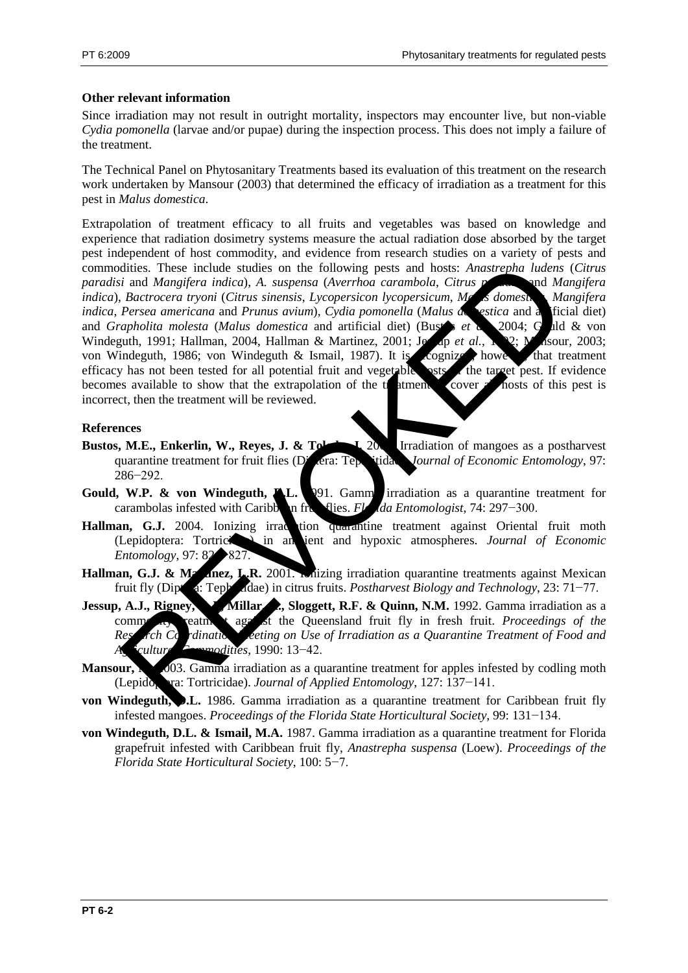## **Other relevant information**

Since irradiation may not result in outright mortality, inspectors may encounter live, but non-viable *Cydia pomonella* (larvae and/or pupae) during the inspection process. This does not imply a failure of the treatment.

The Technical Panel on Phytosanitary Treatments based its evaluation of this treatment on the research work undertaken by Mansour (2003) that determined the efficacy of irradiation as a treatment for this pest in *Malus domestica*.

Extrapolation of treatment efficacy to all fruits and vegetables was based on knowledge and experience that radiation dosimetry systems measure the actual radiation dose absorbed by the target pest independent of host commodity, and evidence from research studies on a variety of pests and commodities. These include studies on the following pests and hosts: *Anastrepha ludens* (*Citrus paradisi* and *Mangifera indica*), *A. suspensa* (*Averrhoa carambola*, *Citrus paradisi* and *Mangifera indica*), *Bactrocera tryoni* (*Citrus sinensis*, *Lycopersicon lycopersicum*, *Malus domestica*, *Mangifera indica*, *Persea americana* and *Prunus avium*), *Cydia pomonella* (*Malus de estica* and a ficial diet) and *Grapholita molesta* (*Malus domestica* and artificial diet) (Bustar *et a*) 2004; Guld & von Windeguth, 1991; Hallman, 2004, Hallman & Martinez, 2001; Jessep *et al.*, 192; Masour, 2003; von Windeguth, 1986; von Windeguth & Ismail, 1987). It is cognized, however, that treatment efficacy has not been tested for all potential fruit and vegetable sets of the target pest. If evidence becomes available to show that the extrapolation of the trainent to cover all hosts of this pest is incorrect, then the treatment will be reviewed. dities. These include studies on the following pests and hosts: Anastrepha ludens<br>
is Bactrocera tryoni (Citrus sinensis, Lycopersicon hycopersicum, ML<br> *Bactrocera tryoni (Citrus sinensis, Lycopersicon hycopersicum, ML*<br>

#### **References**

- **Bustos, M.E., Enkerlin, W., Reyes, J. & Toledoc, J. 2004.** Irradiation of mangoes as a postharvest quarantine treatment for fruit flies (Diptera: Tephritidae). *Journal of Economic Entomology*, 97: 286−292.
- **Gould, W.P. & von Windeguth, A.L.** 291. Gamma irradiation as a quarantine treatment for carambolas infested with Caribb**on fruit flies.** *Florida Entomologist*, 74: 297−300.
- Hallman, G.J. 2004. Ionizing irradiction quarantine treatment against Oriental fruit moth (Lepidoptera: Tortricidae) in ambient and hypoxic atmospheres. *Journal of Economic Entomology*, 97: 82→827
- Hallman, G.J. & Martinez, L.R. 2001. Inizing irradiation quarantine treatments against Mexican fruit fly (Diptera: Tephritidae) in citrus fruits. *Postharvest Biology and Technology*, 23: 71−77.
- **Jessup, A.J., Rigney, C.J., Millar, A., Sloggett, R.F. & Quinn, N.M.** 1992. Gamma irradiation as a commodial treatment against the Queensland fruit fly in fresh fruit. *Proceedings of the* Research Containing Meeting on Use of Irradiation as a Quarantine Treatment of Food and *Agricultural Commodities*, 1990: 13−42.
- Mansour, **M. 2003.** Gamma irradiation as a quarantine treatment for apples infested by codling moth (Lepido<sub>p</sub>tera: Tortricidae). *Journal of Applied Entomology*, 127: 137−141.
- **von Windeguth, D.L.** 1986. Gamma irradiation as a quarantine treatment for Caribbean fruit fly infested mangoes. *Proceedings of the Florida State Horticultural Society*, 99: 131−134.
- **von Windeguth, D.L. & Ismail, M.A.** 1987. Gamma irradiation as a quarantine treatment for Florida grapefruit infested with Caribbean fruit fly, *Anastrepha suspensa* (Loew). *Proceedings of the Florida State Horticultural Society*, 100: 5−7.